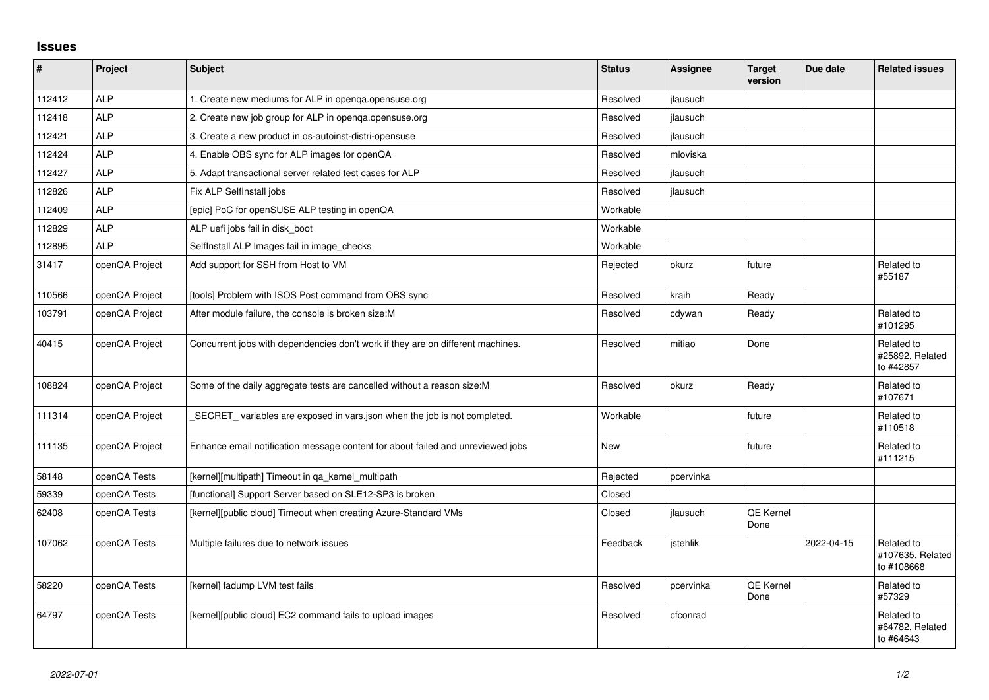## **Issues**

| $\vert$ # | Project        | <b>Subject</b>                                                                  | <b>Status</b> | Assignee  | <b>Target</b><br>version | Due date   | <b>Related issues</b>                        |
|-----------|----------------|---------------------------------------------------------------------------------|---------------|-----------|--------------------------|------------|----------------------------------------------|
| 112412    | <b>ALP</b>     | 1. Create new mediums for ALP in openga.opensuse.org                            | Resolved      | jlausuch  |                          |            |                                              |
| 112418    | <b>ALP</b>     | 2. Create new job group for ALP in openga.opensuse.org                          | Resolved      | jlausuch  |                          |            |                                              |
| 112421    | <b>ALP</b>     | 3. Create a new product in os-autoinst-distri-opensuse                          | Resolved      | jlausuch  |                          |            |                                              |
| 112424    | <b>ALP</b>     | 4. Enable OBS sync for ALP images for openQA                                    | Resolved      | mloviska  |                          |            |                                              |
| 112427    | <b>ALP</b>     | 5. Adapt transactional server related test cases for ALP                        | Resolved      | jlausuch  |                          |            |                                              |
| 112826    | <b>ALP</b>     | Fix ALP SelfInstall jobs                                                        | Resolved      | jlausuch  |                          |            |                                              |
| 112409    | <b>ALP</b>     | [epic] PoC for openSUSE ALP testing in openQA                                   | Workable      |           |                          |            |                                              |
| 112829    | <b>ALP</b>     | ALP uefi jobs fail in disk boot                                                 | Workable      |           |                          |            |                                              |
| 112895    | <b>ALP</b>     | SelfInstall ALP Images fail in image_checks                                     | Workable      |           |                          |            |                                              |
| 31417     | openQA Project | Add support for SSH from Host to VM                                             | Rejected      | okurz     | future                   |            | Related to<br>#55187                         |
| 110566    | openQA Project | [tools] Problem with ISOS Post command from OBS sync                            | Resolved      | kraih     | Ready                    |            |                                              |
| 103791    | openQA Project | After module failure, the console is broken size: M                             | Resolved      | cdywan    | Ready                    |            | Related to<br>#101295                        |
| 40415     | openQA Project | Concurrent jobs with dependencies don't work if they are on different machines. | Resolved      | mitiao    | Done                     |            | Related to<br>#25892, Related<br>to #42857   |
| 108824    | openQA Project | Some of the daily aggregate tests are cancelled without a reason size:M         | Resolved      | okurz     | Ready                    |            | Related to<br>#107671                        |
| 111314    | openQA Project | SECRET_variables are exposed in vars.json when the job is not completed.        | Workable      |           | future                   |            | Related to<br>#110518                        |
| 111135    | openQA Project | Enhance email notification message content for about failed and unreviewed jobs | New           |           | future                   |            | Related to<br>#111215                        |
| 58148     | openQA Tests   | [kernel][multipath] Timeout in ga kernel multipath                              | Rejected      | pcervinka |                          |            |                                              |
| 59339     | openQA Tests   | [functional] Support Server based on SLE12-SP3 is broken                        | Closed        |           |                          |            |                                              |
| 62408     | openQA Tests   | [kernel][public cloud] Timeout when creating Azure-Standard VMs                 | Closed        | jlausuch  | <b>QE Kernel</b><br>Done |            |                                              |
| 107062    | openQA Tests   | Multiple failures due to network issues                                         | Feedback      | istehlik  |                          | 2022-04-15 | Related to<br>#107635, Related<br>to #108668 |
| 58220     | openQA Tests   | [kernel] fadump LVM test fails                                                  | Resolved      | pcervinka | <b>QE Kernel</b><br>Done |            | Related to<br>#57329                         |
| 64797     | openQA Tests   | [kernel][public cloud] EC2 command fails to upload images                       | Resolved      | cfconrad  |                          |            | Related to<br>#64782, Related<br>to #64643   |